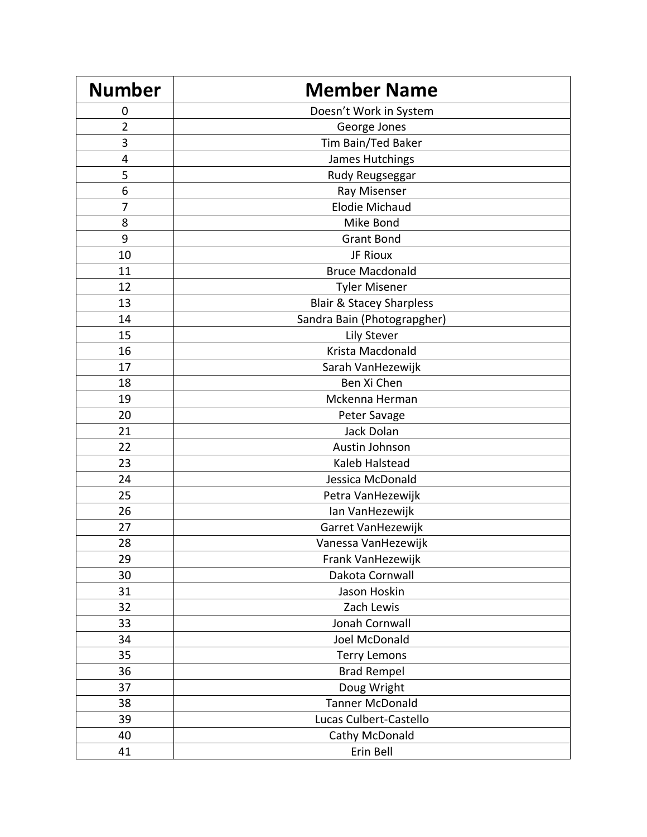| <b>Number</b>  | <b>Member Name</b>                  |
|----------------|-------------------------------------|
| 0              | Doesn't Work in System              |
| $\overline{2}$ | George Jones                        |
| 3              | Tim Bain/Ted Baker                  |
| 4              | James Hutchings                     |
| 5              | Rudy Reugseggar                     |
| 6              | Ray Misenser                        |
| 7              | <b>Elodie Michaud</b>               |
| 8              | Mike Bond                           |
| 9              | <b>Grant Bond</b>                   |
| 10             | JF Rioux                            |
| 11             | <b>Bruce Macdonald</b>              |
| 12             | <b>Tyler Misener</b>                |
| 13             | <b>Blair &amp; Stacey Sharpless</b> |
| 14             | Sandra Bain (Photograpgher)         |
| 15             | <b>Lily Stever</b>                  |
| 16             | Krista Macdonald                    |
| 17             | Sarah VanHezewijk                   |
| 18             | Ben Xi Chen                         |
| 19             | Mckenna Herman                      |
| 20             | Peter Savage                        |
| 21             | Jack Dolan                          |
| 22             | Austin Johnson                      |
| 23             | Kaleb Halstead                      |
| 24             | Jessica McDonald                    |
| 25             | Petra VanHezewijk                   |
| 26             | Ian VanHezewijk                     |
| 27             | Garret VanHezewijk                  |
| 28             | Vanessa VanHezewijk                 |
| 29             | Frank VanHezewijk                   |
| 30             | Dakota Cornwall                     |
| 31             | Jason Hoskin                        |
| 32             | Zach Lewis                          |
| 33             | Jonah Cornwall                      |
| 34             | Joel McDonald                       |
| 35             | <b>Terry Lemons</b>                 |
| 36             | <b>Brad Rempel</b>                  |
| 37             | Doug Wright                         |
| 38             | <b>Tanner McDonald</b>              |
| 39             | Lucas Culbert-Castello              |
| 40             | Cathy McDonald                      |
| 41             | Erin Bell                           |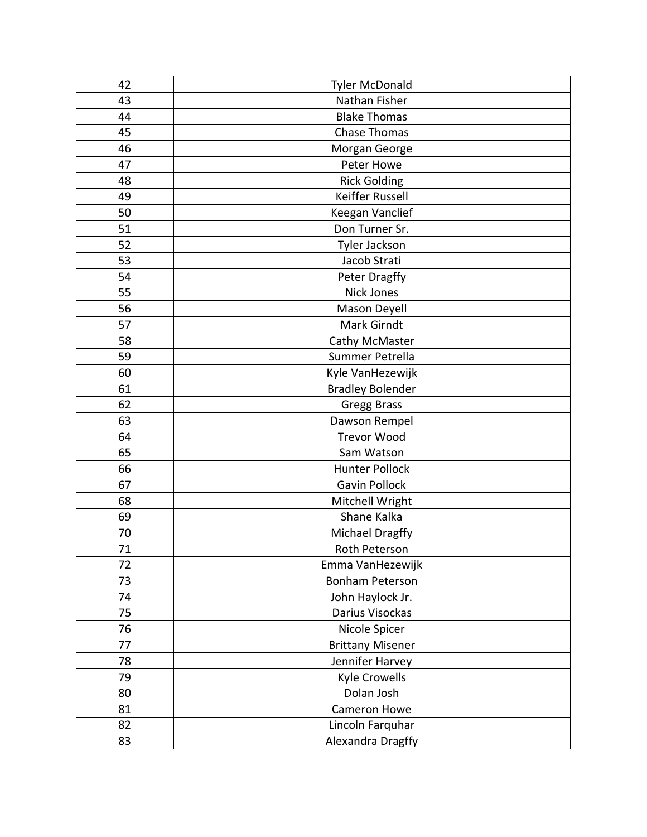| 42 | <b>Tyler McDonald</b>   |
|----|-------------------------|
| 43 | Nathan Fisher           |
| 44 | <b>Blake Thomas</b>     |
| 45 | <b>Chase Thomas</b>     |
| 46 | Morgan George           |
| 47 | Peter Howe              |
| 48 | <b>Rick Golding</b>     |
| 49 | Keiffer Russell         |
| 50 | Keegan Vanclief         |
| 51 | Don Turner Sr.          |
| 52 | Tyler Jackson           |
| 53 | Jacob Strati            |
| 54 | Peter Dragffy           |
| 55 | <b>Nick Jones</b>       |
| 56 | Mason Deyell            |
| 57 | Mark Girndt             |
| 58 | Cathy McMaster          |
| 59 | Summer Petrella         |
| 60 | Kyle VanHezewijk        |
| 61 | <b>Bradley Bolender</b> |
| 62 | <b>Gregg Brass</b>      |
| 63 | Dawson Rempel           |
| 64 | <b>Trevor Wood</b>      |
| 65 | Sam Watson              |
| 66 | <b>Hunter Pollock</b>   |
| 67 | <b>Gavin Pollock</b>    |
| 68 | Mitchell Wright         |
| 69 | Shane Kalka             |
| 70 | Michael Dragffy         |
| 71 | Roth Peterson           |
| 72 | Emma VanHezewijk        |
| 73 | <b>Bonham Peterson</b>  |
| 74 | John Haylock Jr.        |
| 75 | Darius Visockas         |
| 76 | Nicole Spicer           |
| 77 | <b>Brittany Misener</b> |
| 78 | Jennifer Harvey         |
| 79 | Kyle Crowells           |
| 80 | Dolan Josh              |
| 81 | Cameron Howe            |
| 82 | Lincoln Farquhar        |
| 83 | Alexandra Dragffy       |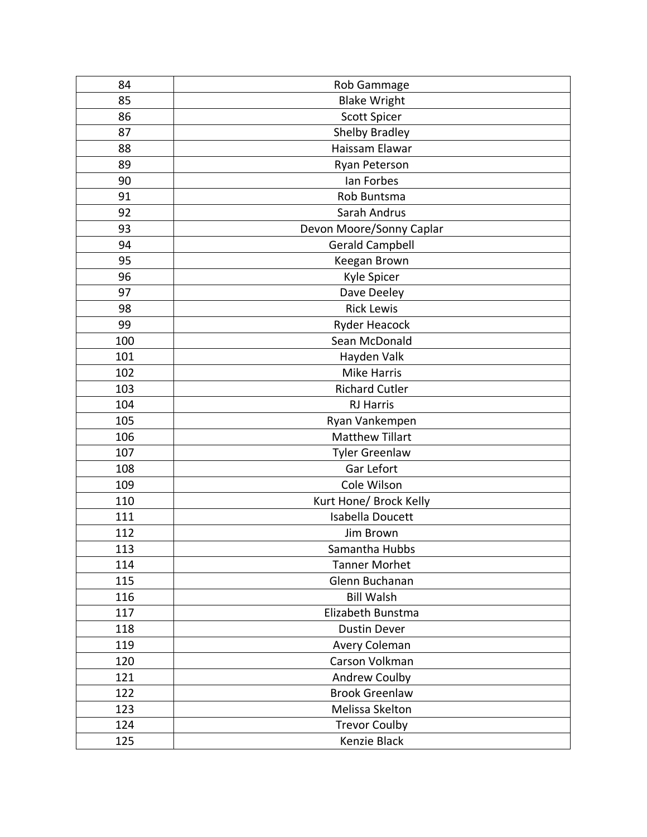| 84  | Rob Gammage              |
|-----|--------------------------|
| 85  | <b>Blake Wright</b>      |
| 86  | <b>Scott Spicer</b>      |
| 87  | <b>Shelby Bradley</b>    |
| 88  | Haissam Elawar           |
| 89  | Ryan Peterson            |
| 90  | lan Forbes               |
| 91  | Rob Buntsma              |
| 92  | Sarah Andrus             |
| 93  | Devon Moore/Sonny Caplar |
| 94  | <b>Gerald Campbell</b>   |
| 95  | Keegan Brown             |
| 96  | Kyle Spicer              |
| 97  | Dave Deeley              |
| 98  | <b>Rick Lewis</b>        |
| 99  | <b>Ryder Heacock</b>     |
| 100 | Sean McDonald            |
| 101 | Hayden Valk              |
| 102 | <b>Mike Harris</b>       |
| 103 | <b>Richard Cutler</b>    |
| 104 | <b>RJ Harris</b>         |
| 105 | Ryan Vankempen           |
| 106 | <b>Matthew Tillart</b>   |
| 107 | <b>Tyler Greenlaw</b>    |
| 108 | Gar Lefort               |
| 109 | Cole Wilson              |
| 110 | Kurt Hone/ Brock Kelly   |
| 111 | Isabella Doucett         |
| 112 | Jim Brown                |
| 113 | Samantha Hubbs           |
| 114 | <b>Tanner Morhet</b>     |
| 115 | Glenn Buchanan           |
| 116 | <b>Bill Walsh</b>        |
| 117 | Elizabeth Bunstma        |
| 118 | <b>Dustin Dever</b>      |
| 119 | Avery Coleman            |
| 120 | Carson Volkman           |
| 121 | Andrew Coulby            |
| 122 | <b>Brook Greenlaw</b>    |
| 123 | Melissa Skelton          |
| 124 | <b>Trevor Coulby</b>     |
| 125 | Kenzie Black             |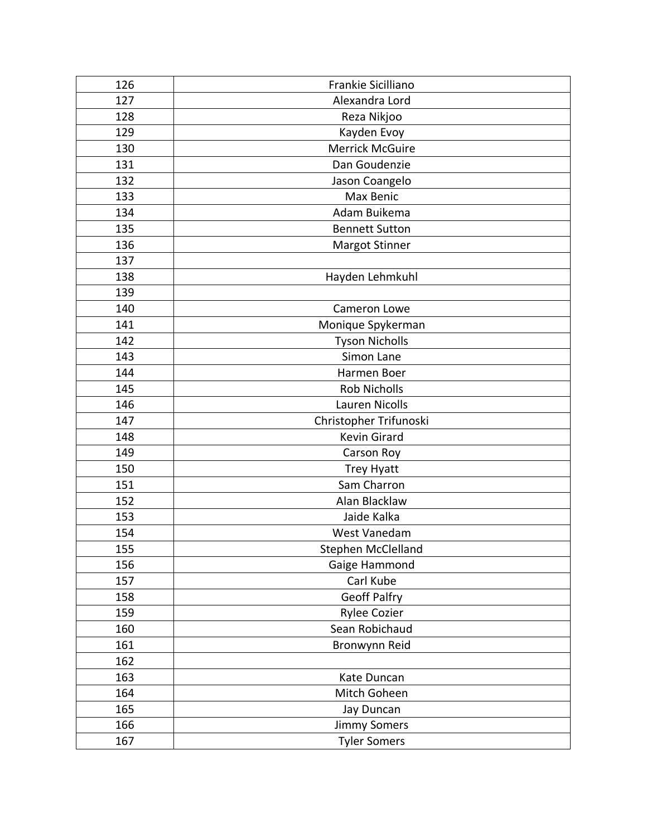| 126 | Frankie Sicilliano     |
|-----|------------------------|
| 127 | Alexandra Lord         |
| 128 | Reza Nikjoo            |
| 129 | Kayden Evoy            |
| 130 | <b>Merrick McGuire</b> |
| 131 | Dan Goudenzie          |
| 132 | Jason Coangelo         |
| 133 | Max Benic              |
| 134 | Adam Buikema           |
| 135 | <b>Bennett Sutton</b>  |
| 136 | Margot Stinner         |
| 137 |                        |
| 138 | Hayden Lehmkuhl        |
| 139 |                        |
| 140 | Cameron Lowe           |
| 141 | Monique Spykerman      |
| 142 | <b>Tyson Nicholls</b>  |
| 143 | Simon Lane             |
| 144 | Harmen Boer            |
| 145 | <b>Rob Nicholls</b>    |
| 146 | <b>Lauren Nicolls</b>  |
| 147 | Christopher Trifunoski |
| 148 | <b>Kevin Girard</b>    |
| 149 | Carson Roy             |
| 150 | <b>Trey Hyatt</b>      |
| 151 | Sam Charron            |
| 152 | Alan Blacklaw          |
| 153 | Jaide Kalka            |
| 154 | West Vanedam           |
| 155 | Stephen McClelland     |
| 156 | Gaige Hammond          |
| 157 | Carl Kube              |
| 158 | <b>Geoff Palfry</b>    |
| 159 | Rylee Cozier           |
| 160 | Sean Robichaud         |
| 161 | Bronwynn Reid          |
| 162 |                        |
| 163 | Kate Duncan            |
| 164 | Mitch Goheen           |
| 165 | Jay Duncan             |
| 166 | <b>Jimmy Somers</b>    |
| 167 | <b>Tyler Somers</b>    |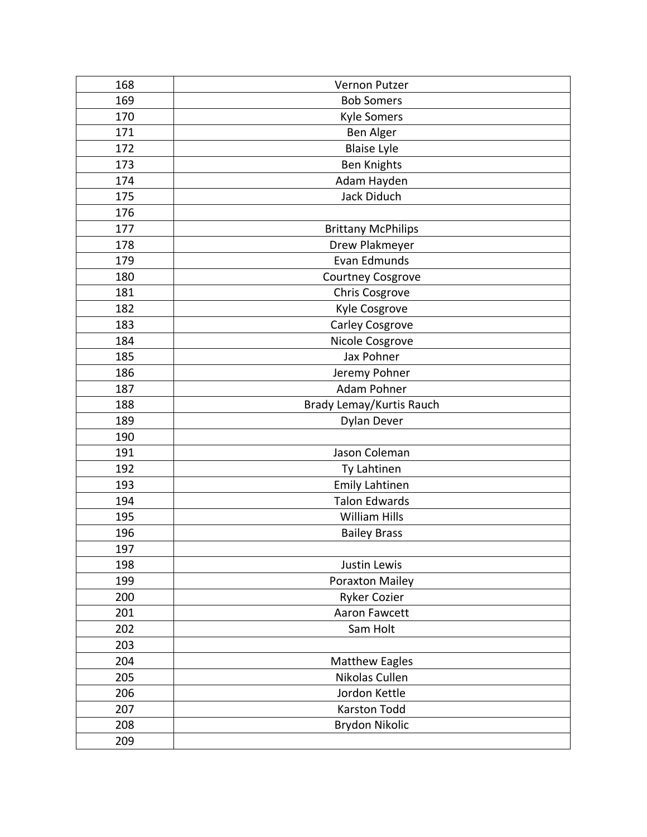| 168 | <b>Vernon Putzer</b>      |
|-----|---------------------------|
| 169 | <b>Bob Somers</b>         |
| 170 | <b>Kyle Somers</b>        |
| 171 | Ben Alger                 |
| 172 | <b>Blaise Lyle</b>        |
| 173 | <b>Ben Knights</b>        |
| 174 | Adam Hayden               |
| 175 | Jack Diduch               |
| 176 |                           |
| 177 | <b>Brittany McPhilips</b> |
| 178 | Drew Plakmeyer            |
| 179 | <b>Evan Edmunds</b>       |
| 180 | Courtney Cosgrove         |
| 181 | Chris Cosgrove            |
| 182 | Kyle Cosgrove             |
| 183 | Carley Cosgrove           |
| 184 | Nicole Cosgrove           |
| 185 | Jax Pohner                |
| 186 | Jeremy Pohner             |
| 187 | Adam Pohner               |
| 188 | Brady Lemay/Kurtis Rauch  |
| 189 | <b>Dylan Dever</b>        |
| 190 |                           |
| 191 | Jason Coleman             |
| 192 | Ty Lahtinen               |
| 193 | <b>Emily Lahtinen</b>     |
| 194 | <b>Talon Edwards</b>      |
| 195 | <b>William Hills</b>      |
| 196 | <b>Bailey Brass</b>       |
| 197 |                           |
| 198 | Justin Lewis              |
| 199 | <b>Poraxton Mailey</b>    |
| 200 | <b>Ryker Cozier</b>       |
| 201 | Aaron Fawcett             |
| 202 | Sam Holt                  |
| 203 |                           |
| 204 | <b>Matthew Eagles</b>     |
| 205 | Nikolas Cullen            |
| 206 | Jordon Kettle             |
| 207 | Karston Todd              |
| 208 | Brydon Nikolic            |
| 209 |                           |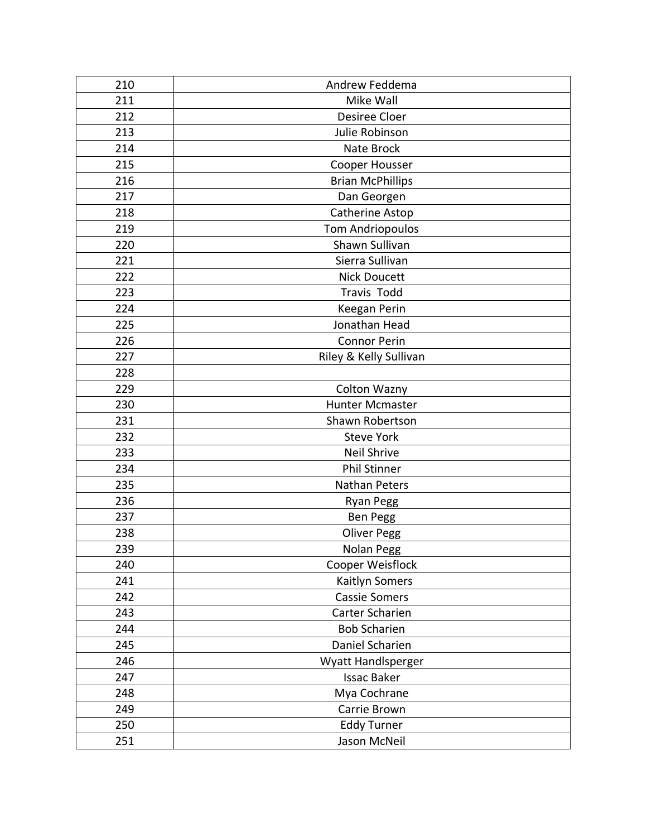| 210 | Andrew Feddema          |
|-----|-------------------------|
| 211 | Mike Wall               |
| 212 | Desiree Cloer           |
| 213 | Julie Robinson          |
| 214 | Nate Brock              |
| 215 | Cooper Housser          |
| 216 | <b>Brian McPhillips</b> |
| 217 | Dan Georgen             |
| 218 | Catherine Astop         |
| 219 | <b>Tom Andriopoulos</b> |
| 220 | Shawn Sullivan          |
| 221 | Sierra Sullivan         |
| 222 | <b>Nick Doucett</b>     |
| 223 | <b>Travis Todd</b>      |
| 224 | Keegan Perin            |
| 225 | Jonathan Head           |
| 226 | <b>Connor Perin</b>     |
| 227 | Riley & Kelly Sullivan  |
| 228 |                         |
| 229 | Colton Wazny            |
| 230 | <b>Hunter Mcmaster</b>  |
| 231 | Shawn Robertson         |
| 232 | <b>Steve York</b>       |
| 233 | Neil Shrive             |
| 234 | <b>Phil Stinner</b>     |
| 235 | Nathan Peters           |
| 236 | <b>Ryan Pegg</b>        |
| 237 | Ben Pegg                |
| 238 | <b>Oliver Pegg</b>      |
| 239 | Nolan Pegg              |
| 240 | Cooper Weisflock        |
| 241 | Kaitlyn Somers          |
| 242 | <b>Cassie Somers</b>    |
| 243 | Carter Scharien         |
| 244 | <b>Bob Scharien</b>     |
| 245 | Daniel Scharien         |
| 246 | Wyatt Handlsperger      |
| 247 | <b>Issac Baker</b>      |
| 248 | Mya Cochrane            |
| 249 | Carrie Brown            |
| 250 | <b>Eddy Turner</b>      |
| 251 | Jason McNeil            |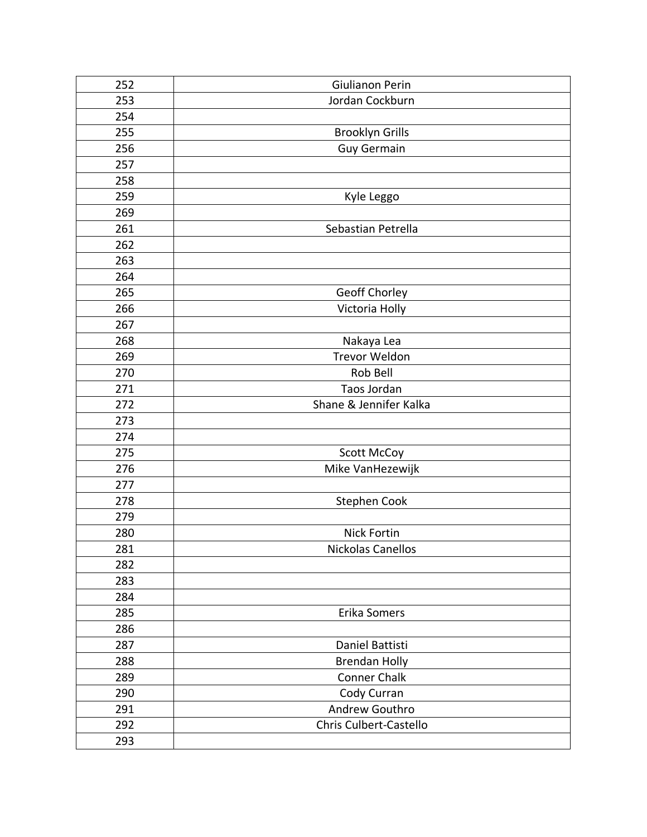| 252 | Giulianon Perin        |
|-----|------------------------|
| 253 | Jordan Cockburn        |
| 254 |                        |
| 255 | <b>Brooklyn Grills</b> |
| 256 | <b>Guy Germain</b>     |
| 257 |                        |
| 258 |                        |
| 259 | Kyle Leggo             |
| 269 |                        |
| 261 | Sebastian Petrella     |
| 262 |                        |
| 263 |                        |
| 264 |                        |
| 265 | Geoff Chorley          |
| 266 | Victoria Holly         |
| 267 |                        |
| 268 | Nakaya Lea             |
| 269 | Trevor Weldon          |
| 270 | Rob Bell               |
| 271 | Taos Jordan            |
| 272 | Shane & Jennifer Kalka |
| 273 |                        |
| 274 |                        |
| 275 | <b>Scott McCoy</b>     |
| 276 | Mike VanHezewijk       |
| 277 |                        |
| 278 | Stephen Cook           |
| 279 |                        |
| 280 | Nick Fortin            |
| 281 | Nickolas Canellos      |
| 282 |                        |
| 283 |                        |
| 284 |                        |
| 285 | Erika Somers           |
| 286 |                        |
| 287 | Daniel Battisti        |
| 288 | <b>Brendan Holly</b>   |
| 289 | <b>Conner Chalk</b>    |
| 290 | Cody Curran            |
| 291 | Andrew Gouthro         |
| 292 | Chris Culbert-Castello |
| 293 |                        |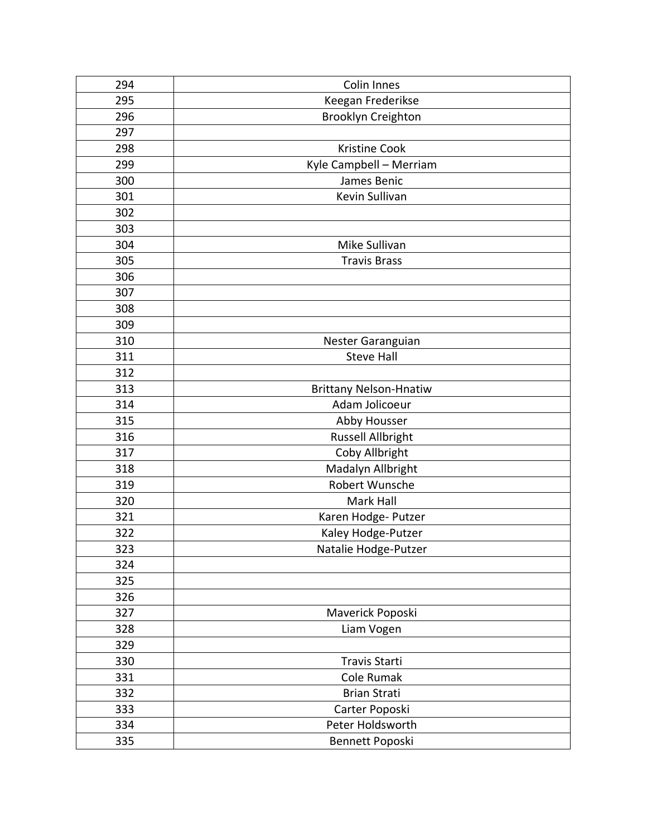| 294 | <b>Colin Innes</b>            |
|-----|-------------------------------|
| 295 | Keegan Frederikse             |
| 296 | Brooklyn Creighton            |
| 297 |                               |
| 298 | <b>Kristine Cook</b>          |
| 299 | Kyle Campbell - Merriam       |
| 300 | James Benic                   |
| 301 | Kevin Sullivan                |
| 302 |                               |
| 303 |                               |
| 304 | Mike Sullivan                 |
| 305 | <b>Travis Brass</b>           |
| 306 |                               |
| 307 |                               |
| 308 |                               |
| 309 |                               |
| 310 | Nester Garanguian             |
| 311 | <b>Steve Hall</b>             |
| 312 |                               |
| 313 | <b>Brittany Nelson-Hnatiw</b> |
| 314 | Adam Jolicoeur                |
| 315 | Abby Housser                  |
| 316 | <b>Russell Allbright</b>      |
| 317 | Coby Allbright                |
| 318 | Madalyn Allbright             |
| 319 | Robert Wunsche                |
| 320 | Mark Hall                     |
| 321 | Karen Hodge- Putzer           |
| 322 | Kaley Hodge-Putzer            |
| 323 | Natalie Hodge-Putzer          |
| 324 |                               |
| 325 |                               |
| 326 |                               |
| 327 | Maverick Poposki              |
| 328 | Liam Vogen                    |
| 329 |                               |
| 330 | <b>Travis Starti</b>          |
| 331 | Cole Rumak                    |
| 332 | <b>Brian Strati</b>           |
| 333 | Carter Poposki                |
| 334 | Peter Holdsworth              |
| 335 | Bennett Poposki               |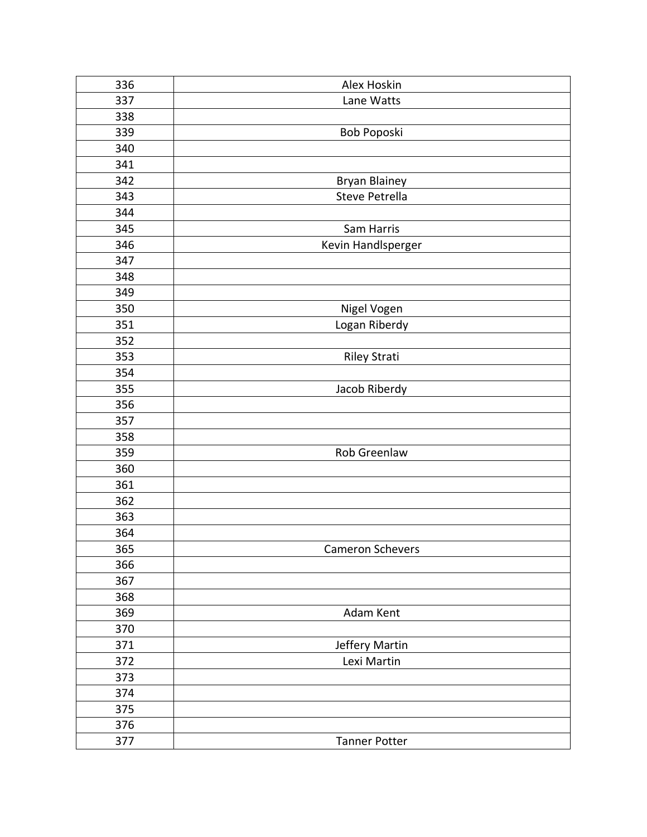| 336 | Alex Hoskin          |
|-----|----------------------|
| 337 | Lane Watts           |
| 338 |                      |
| 339 | Bob Poposki          |
| 340 |                      |
| 341 |                      |
| 342 | <b>Bryan Blainey</b> |
| 343 | Steve Petrella       |
| 344 |                      |
| 345 | Sam Harris           |
| 346 | Kevin Handlsperger   |
| 347 |                      |
| 348 |                      |
| 349 |                      |
| 350 | Nigel Vogen          |
| 351 | Logan Riberdy        |
| 352 |                      |
| 353 | <b>Riley Strati</b>  |
| 354 |                      |
| 355 | Jacob Riberdy        |
| 356 |                      |
| 357 |                      |
| 358 |                      |
| 359 | Rob Greenlaw         |
| 360 |                      |
| 361 |                      |
| 362 |                      |
| 363 |                      |
| 364 |                      |
| 365 | Cameron Schevers     |
| 366 |                      |
| 367 |                      |
| 368 |                      |
| 369 | Adam Kent            |
| 370 |                      |
| 371 | Jeffery Martin       |
| 372 | Lexi Martin          |
| 373 |                      |
| 374 |                      |
| 375 |                      |
| 376 |                      |
| 377 | <b>Tanner Potter</b> |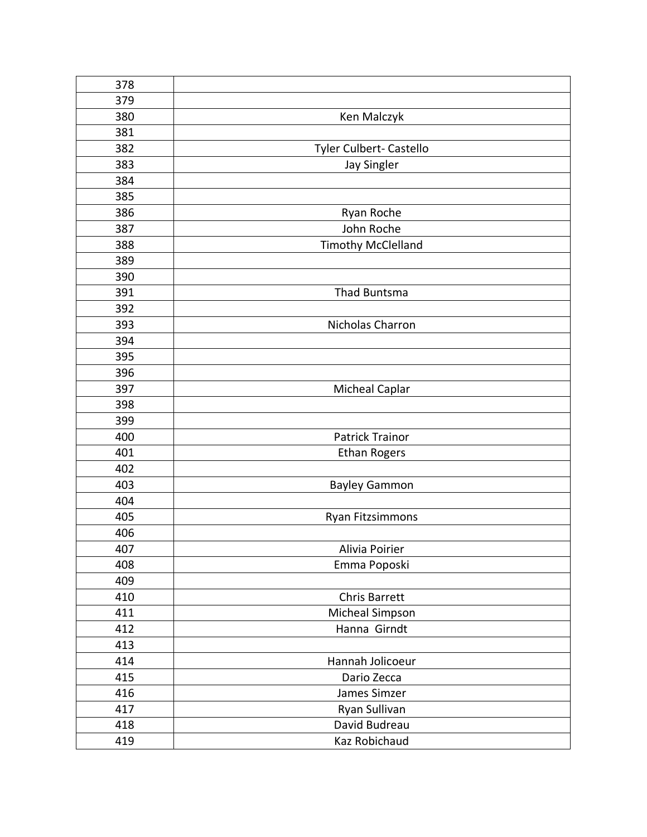| 378 |                           |
|-----|---------------------------|
| 379 |                           |
| 380 | Ken Malczyk               |
| 381 |                           |
| 382 | Tyler Culbert- Castello   |
| 383 | Jay Singler               |
| 384 |                           |
| 385 |                           |
| 386 | Ryan Roche                |
| 387 | John Roche                |
| 388 | <b>Timothy McClelland</b> |
| 389 |                           |
| 390 |                           |
| 391 | Thad Buntsma              |
| 392 |                           |
| 393 | Nicholas Charron          |
| 394 |                           |
| 395 |                           |
| 396 |                           |
| 397 | <b>Micheal Caplar</b>     |
| 398 |                           |
| 399 |                           |
| 400 | <b>Patrick Trainor</b>    |
| 401 | <b>Ethan Rogers</b>       |
| 402 |                           |
| 403 | <b>Bayley Gammon</b>      |
| 404 |                           |
| 405 | Ryan Fitzsimmons          |
| 406 |                           |
| 407 | Alivia Poirier            |
| 408 | Emma Poposki              |
| 409 |                           |
| 410 | <b>Chris Barrett</b>      |
| 411 | Micheal Simpson           |
| 412 | Hanna Girndt              |
| 413 |                           |
| 414 | Hannah Jolicoeur          |
| 415 | Dario Zecca               |
| 416 | James Simzer              |
| 417 | Ryan Sullivan             |
| 418 | David Budreau             |
| 419 | Kaz Robichaud             |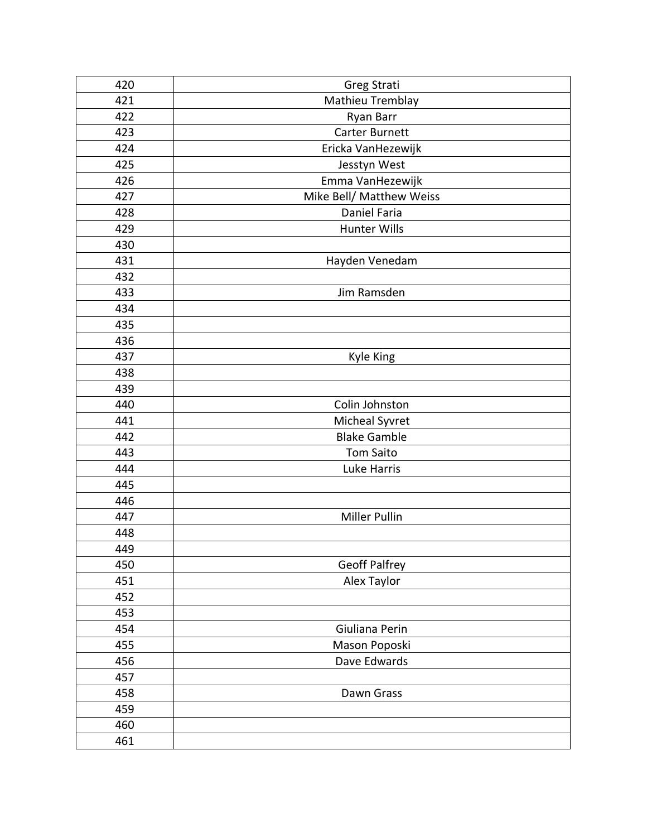| 420 | Greg Strati              |
|-----|--------------------------|
| 421 | Mathieu Tremblay         |
| 422 | Ryan Barr                |
| 423 | Carter Burnett           |
| 424 | Ericka VanHezewijk       |
| 425 | Jesstyn West             |
| 426 | Emma VanHezewijk         |
| 427 | Mike Bell/ Matthew Weiss |
| 428 | Daniel Faria             |
| 429 | <b>Hunter Wills</b>      |
| 430 |                          |
| 431 | Hayden Venedam           |
| 432 |                          |
| 433 | Jim Ramsden              |
| 434 |                          |
| 435 |                          |
| 436 |                          |
| 437 | <b>Kyle King</b>         |
| 438 |                          |
| 439 |                          |
| 440 | Colin Johnston           |
| 441 | Micheal Syvret           |
| 442 | <b>Blake Gamble</b>      |
| 443 | <b>Tom Saito</b>         |
| 444 | Luke Harris              |
| 445 |                          |
| 446 |                          |
| 447 | Miller Pullin            |
| 448 |                          |
| 449 |                          |
| 450 | <b>Geoff Palfrey</b>     |
| 451 | Alex Taylor              |
| 452 |                          |
| 453 |                          |
| 454 | Giuliana Perin           |
| 455 | Mason Poposki            |
| 456 | Dave Edwards             |
| 457 |                          |
| 458 | Dawn Grass               |
| 459 |                          |
| 460 |                          |
| 461 |                          |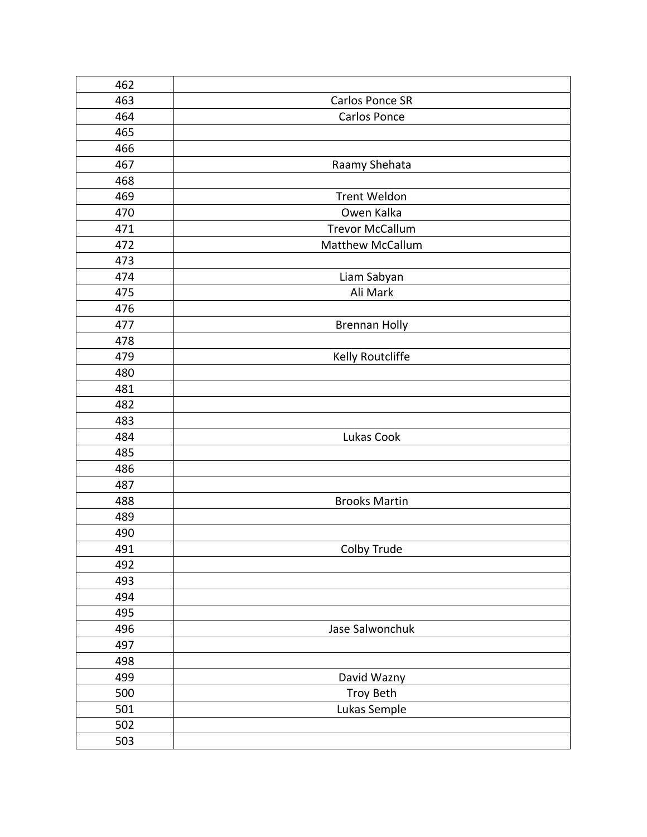| 462 |                        |
|-----|------------------------|
| 463 | Carlos Ponce SR        |
| 464 | Carlos Ponce           |
| 465 |                        |
| 466 |                        |
| 467 | Raamy Shehata          |
| 468 |                        |
| 469 | <b>Trent Weldon</b>    |
| 470 | Owen Kalka             |
| 471 | <b>Trevor McCallum</b> |
| 472 | Matthew McCallum       |
| 473 |                        |
| 474 | Liam Sabyan            |
| 475 | Ali Mark               |
| 476 |                        |
| 477 | <b>Brennan Holly</b>   |
| 478 |                        |
| 479 | Kelly Routcliffe       |
| 480 |                        |
| 481 |                        |
| 482 |                        |
| 483 |                        |
| 484 | Lukas Cook             |
| 485 |                        |
| 486 |                        |
| 487 |                        |
| 488 | <b>Brooks Martin</b>   |
| 489 |                        |
| 490 |                        |
| 491 | Colby Trude            |
| 492 |                        |
| 493 |                        |
| 494 |                        |
| 495 |                        |
| 496 | Jase Salwonchuk        |
| 497 |                        |
| 498 |                        |
| 499 | David Wazny            |
| 500 | Troy Beth              |
| 501 | Lukas Semple           |
| 502 |                        |
| 503 |                        |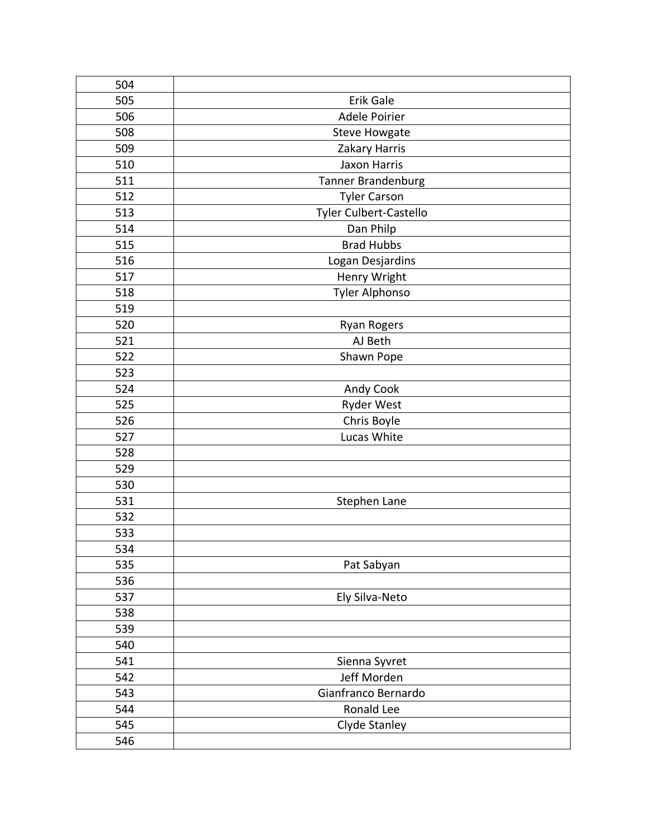| 504 |                        |
|-----|------------------------|
| 505 | Erik Gale              |
| 506 | Adele Poirier          |
| 508 | <b>Steve Howgate</b>   |
| 509 | Zakary Harris          |
| 510 | Jaxon Harris           |
| 511 | Tanner Brandenburg     |
| 512 | <b>Tyler Carson</b>    |
| 513 | Tyler Culbert-Castello |
| 514 | Dan Philp              |
| 515 | <b>Brad Hubbs</b>      |
| 516 | Logan Desjardins       |
| 517 | Henry Wright           |
| 518 | Tyler Alphonso         |
| 519 |                        |
| 520 | <b>Ryan Rogers</b>     |
| 521 | AJ Beth                |
| 522 | Shawn Pope             |
| 523 |                        |
| 524 | Andy Cook              |
| 525 | <b>Ryder West</b>      |
| 526 | Chris Boyle            |
| 527 | Lucas White            |
| 528 |                        |
| 529 |                        |
| 530 |                        |
| 531 | Stephen Lane           |
| 532 |                        |
| 533 |                        |
| 534 |                        |
| 535 | Pat Sabyan             |
| 536 |                        |
| 537 | Ely Silva-Neto         |
| 538 |                        |
| 539 |                        |
| 540 |                        |
| 541 | Sienna Syvret          |
| 542 | Jeff Morden            |
| 543 | Gianfranco Bernardo    |
| 544 | Ronald Lee             |
| 545 | Clyde Stanley          |
| 546 |                        |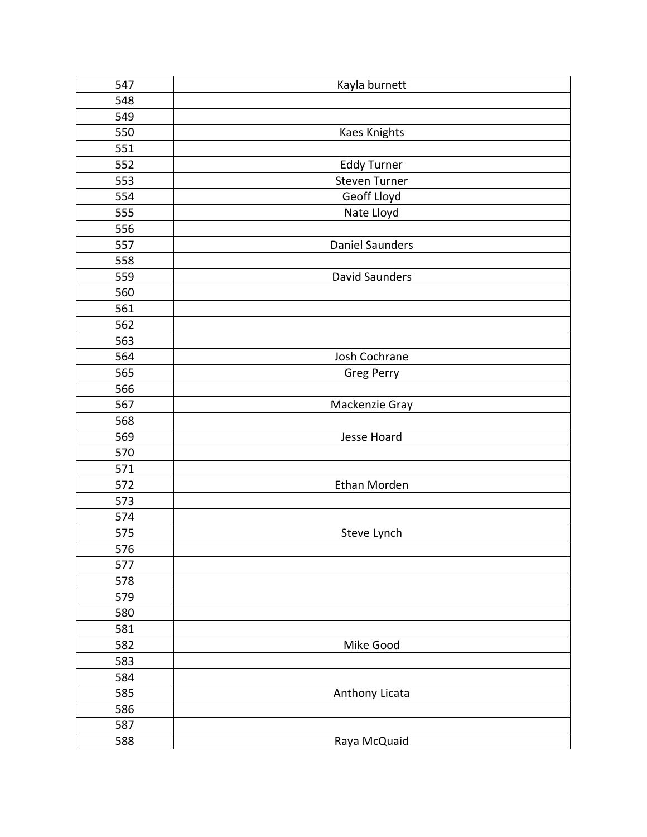| 547 | Kayla burnett          |
|-----|------------------------|
| 548 |                        |
| 549 |                        |
| 550 | <b>Kaes Knights</b>    |
| 551 |                        |
| 552 | <b>Eddy Turner</b>     |
| 553 | Steven Turner          |
| 554 | Geoff Lloyd            |
| 555 | Nate Lloyd             |
| 556 |                        |
| 557 | <b>Daniel Saunders</b> |
| 558 |                        |
| 559 | <b>David Saunders</b>  |
| 560 |                        |
| 561 |                        |
| 562 |                        |
| 563 |                        |
| 564 | Josh Cochrane          |
| 565 | Greg Perry             |
| 566 |                        |
| 567 | Mackenzie Gray         |
| 568 |                        |
| 569 | Jesse Hoard            |
| 570 |                        |
| 571 |                        |
| 572 | Ethan Morden           |
| 573 |                        |
| 574 |                        |
| 575 | Steve Lynch            |
| 576 |                        |
| 577 |                        |
| 578 |                        |
| 579 |                        |
| 580 |                        |
| 581 |                        |
| 582 | Mike Good              |
| 583 |                        |
| 584 |                        |
| 585 | Anthony Licata         |
| 586 |                        |
| 587 |                        |
| 588 | Raya McQuaid           |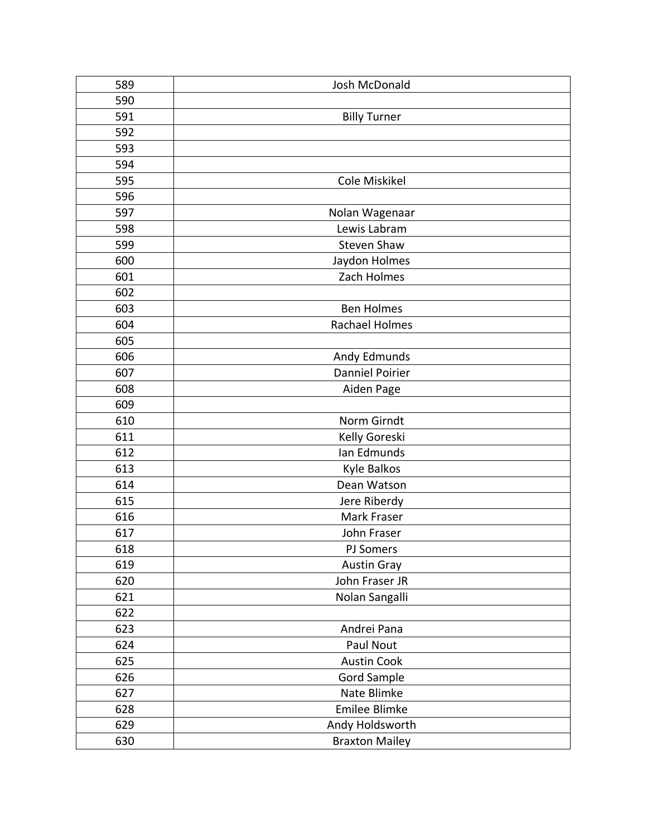| 589 | Josh McDonald          |
|-----|------------------------|
| 590 |                        |
| 591 | <b>Billy Turner</b>    |
| 592 |                        |
| 593 |                        |
| 594 |                        |
| 595 | Cole Miskikel          |
| 596 |                        |
| 597 | Nolan Wagenaar         |
| 598 | Lewis Labram           |
| 599 | <b>Steven Shaw</b>     |
| 600 | Jaydon Holmes          |
| 601 | Zach Holmes            |
| 602 |                        |
| 603 | <b>Ben Holmes</b>      |
| 604 | Rachael Holmes         |
| 605 |                        |
| 606 | Andy Edmunds           |
| 607 | <b>Danniel Poirier</b> |
| 608 | Aiden Page             |
| 609 |                        |
| 610 | Norm Girndt            |
| 611 | Kelly Goreski          |
| 612 | Ian Edmunds            |
| 613 | Kyle Balkos            |
| 614 | Dean Watson            |
| 615 | Jere Riberdy           |
| 616 | Mark Fraser            |
| 617 | John Fraser            |
| 618 | PJ Somers              |
| 619 | <b>Austin Gray</b>     |
| 620 | John Fraser JR         |
| 621 | Nolan Sangalli         |
| 622 |                        |
| 623 | Andrei Pana            |
| 624 | Paul Nout              |
| 625 | <b>Austin Cook</b>     |
| 626 | <b>Gord Sample</b>     |
| 627 | Nate Blimke            |
| 628 | Emilee Blimke          |
| 629 | Andy Holdsworth        |
| 630 | <b>Braxton Mailey</b>  |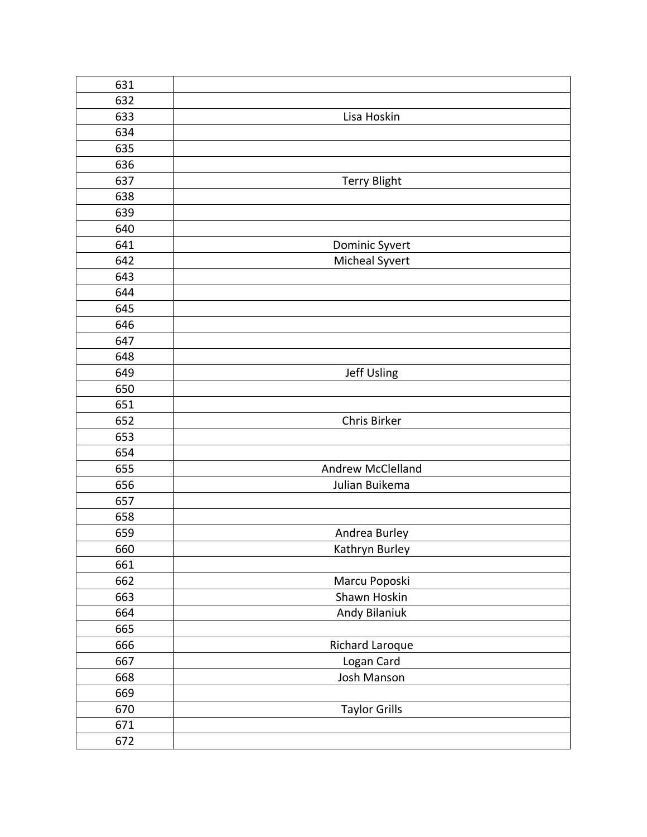| 631 |                      |
|-----|----------------------|
| 632 |                      |
| 633 | Lisa Hoskin          |
| 634 |                      |
| 635 |                      |
| 636 |                      |
| 637 | <b>Terry Blight</b>  |
| 638 |                      |
| 639 |                      |
| 640 |                      |
| 641 | Dominic Syvert       |
| 642 | Micheal Syvert       |
| 643 |                      |
| 644 |                      |
| 645 |                      |
| 646 |                      |
| 647 |                      |
| 648 |                      |
| 649 | Jeff Usling          |
| 650 |                      |
| 651 |                      |
| 652 | Chris Birker         |
| 653 |                      |
| 654 |                      |
| 655 | Andrew McClelland    |
| 656 | Julian Buikema       |
| 657 |                      |
| 658 |                      |
| 659 | Andrea Burley        |
| 660 | Kathryn Burley       |
| 661 |                      |
| 662 | Marcu Poposki        |
| 663 | Shawn Hoskin         |
| 664 | Andy Bilaniuk        |
| 665 |                      |
| 666 | Richard Laroque      |
| 667 | Logan Card           |
| 668 | Josh Manson          |
| 669 |                      |
| 670 | <b>Taylor Grills</b> |
| 671 |                      |
| 672 |                      |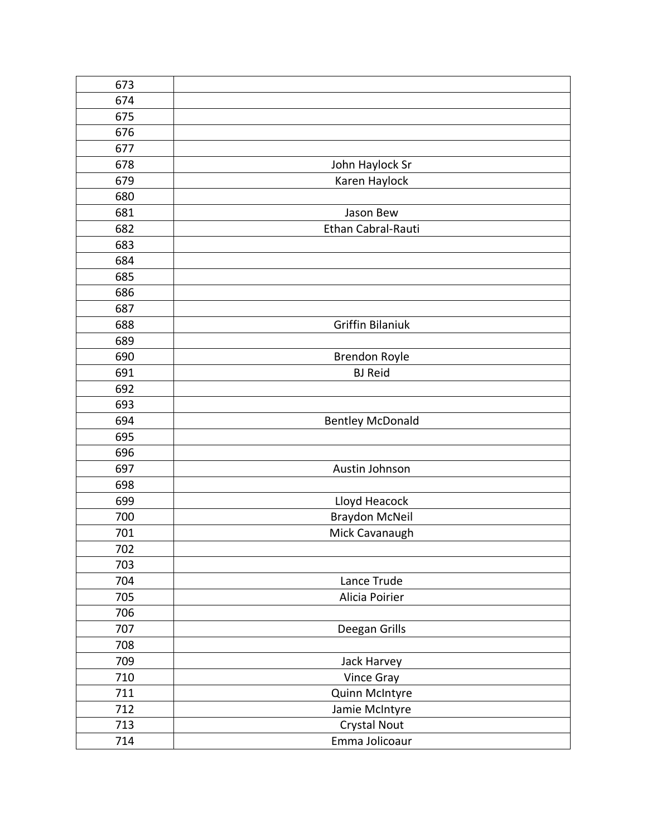| 673 |                         |
|-----|-------------------------|
| 674 |                         |
| 675 |                         |
| 676 |                         |
| 677 |                         |
| 678 | John Haylock Sr         |
| 679 | Karen Haylock           |
| 680 |                         |
| 681 | Jason Bew               |
| 682 | Ethan Cabral-Rauti      |
| 683 |                         |
| 684 |                         |
| 685 |                         |
| 686 |                         |
| 687 |                         |
| 688 | <b>Griffin Bilaniuk</b> |
| 689 |                         |
| 690 | <b>Brendon Royle</b>    |
| 691 | <b>BJ Reid</b>          |
| 692 |                         |
| 693 |                         |
| 694 | <b>Bentley McDonald</b> |
| 695 |                         |
| 696 |                         |
| 697 | Austin Johnson          |
| 698 |                         |
| 699 | Lloyd Heacock           |
| 700 | <b>Braydon McNeil</b>   |
| 701 |                         |
|     | Mick Cavanaugh          |
| 702 |                         |
| 703 |                         |
| 704 | Lance Trude             |
| 705 | Alicia Poirier          |
| 706 |                         |
| 707 | Deegan Grills           |
| 708 |                         |
| 709 | Jack Harvey             |
| 710 | Vince Gray              |
| 711 | Quinn McIntyre          |
| 712 | Jamie McIntyre          |
| 713 | Crystal Nout            |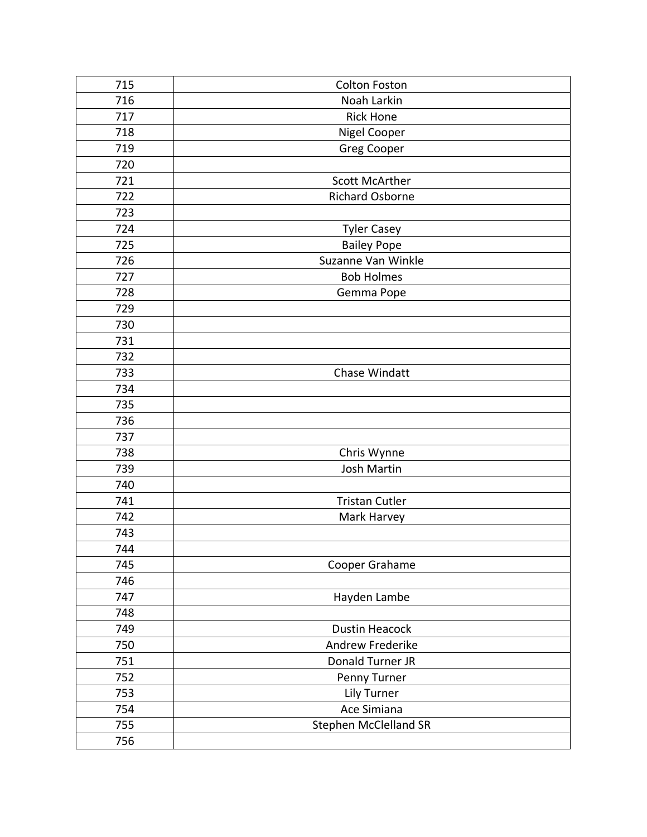| 715 | <b>Colton Foston</b>   |
|-----|------------------------|
| 716 | Noah Larkin            |
| 717 | <b>Rick Hone</b>       |
| 718 | Nigel Cooper           |
| 719 | <b>Greg Cooper</b>     |
| 720 |                        |
| 721 | <b>Scott McArther</b>  |
| 722 | <b>Richard Osborne</b> |
| 723 |                        |
| 724 | <b>Tyler Casey</b>     |
| 725 | <b>Bailey Pope</b>     |
| 726 | Suzanne Van Winkle     |
| 727 | <b>Bob Holmes</b>      |
| 728 | Gemma Pope             |
| 729 |                        |
| 730 |                        |
| 731 |                        |
| 732 |                        |
| 733 | Chase Windatt          |
| 734 |                        |
| 735 |                        |
| 736 |                        |
| 737 |                        |
| 738 | Chris Wynne            |
| 739 | Josh Martin            |
| 740 |                        |
| 741 | <b>Tristan Cutler</b>  |
| 742 | Mark Harvey            |
| 743 |                        |
| 744 |                        |
| 745 | Cooper Grahame         |
| 746 |                        |
| 747 | Hayden Lambe           |
| 748 |                        |
| 749 | <b>Dustin Heacock</b>  |
| 750 | Andrew Frederike       |
| 751 | Donald Turner JR       |
| 752 | Penny Turner           |
| 753 | Lily Turner            |
| 754 | Ace Simiana            |
| 755 | Stephen McClelland SR  |
| 756 |                        |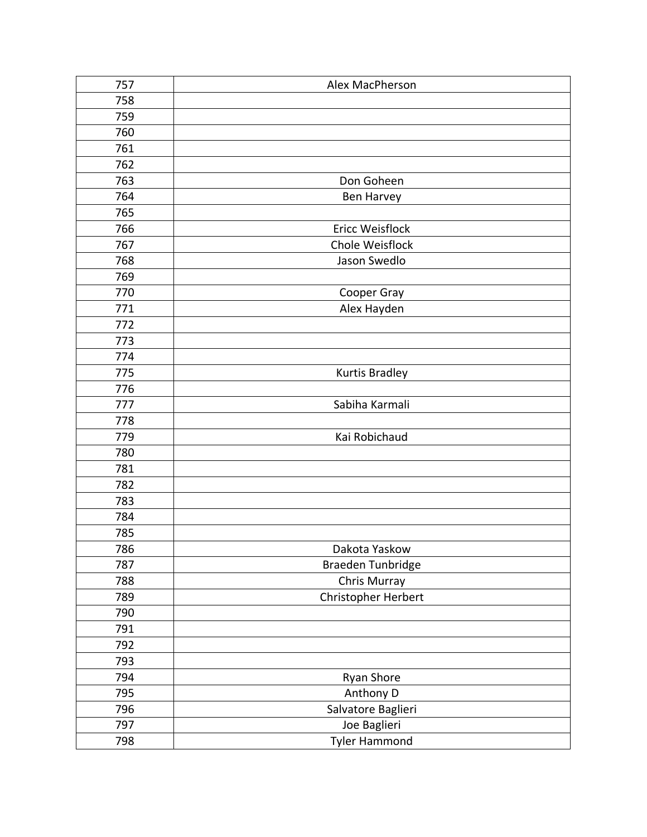| 757 | Alex MacPherson       |
|-----|-----------------------|
| 758 |                       |
| 759 |                       |
| 760 |                       |
| 761 |                       |
| 762 |                       |
| 763 | Don Goheen            |
| 764 | <b>Ben Harvey</b>     |
| 765 |                       |
| 766 | Ericc Weisflock       |
| 767 | Chole Weisflock       |
| 768 | Jason Swedlo          |
| 769 |                       |
| 770 | Cooper Gray           |
| 771 | Alex Hayden           |
| 772 |                       |
| 773 |                       |
| 774 |                       |
| 775 | <b>Kurtis Bradley</b> |
| 776 |                       |
| 777 | Sabiha Karmali        |
| 778 |                       |
| 779 | Kai Robichaud         |
| 780 |                       |
| 781 |                       |
| 782 |                       |
| 783 |                       |
| 784 |                       |
| 785 |                       |
| 786 | Dakota Yaskow         |
| 787 | Braeden Tunbridge     |
| 788 | Chris Murray          |
| 789 | Christopher Herbert   |
| 790 |                       |
| 791 |                       |
| 792 |                       |
| 793 |                       |
| 794 | Ryan Shore            |
| 795 | Anthony D             |
| 796 | Salvatore Baglieri    |
| 797 | Joe Baglieri          |
| 798 | <b>Tyler Hammond</b>  |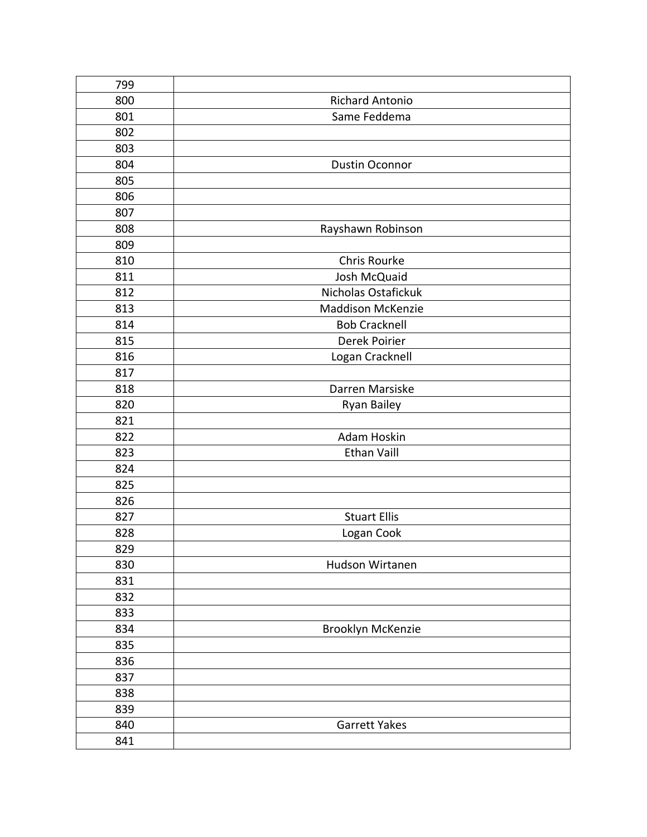| 799 |                          |
|-----|--------------------------|
| 800 | <b>Richard Antonio</b>   |
| 801 | Same Feddema             |
| 802 |                          |
| 803 |                          |
| 804 | <b>Dustin Oconnor</b>    |
| 805 |                          |
| 806 |                          |
| 807 |                          |
| 808 | Rayshawn Robinson        |
| 809 |                          |
| 810 | Chris Rourke             |
| 811 | Josh McQuaid             |
| 812 | Nicholas Ostafickuk      |
| 813 | <b>Maddison McKenzie</b> |
| 814 | <b>Bob Cracknell</b>     |
| 815 | Derek Poirier            |
| 816 | Logan Cracknell          |
| 817 |                          |
| 818 | Darren Marsiske          |
| 820 | Ryan Bailey              |
| 821 |                          |
| 822 | Adam Hoskin              |
| 823 | <b>Ethan Vaill</b>       |
| 824 |                          |
| 825 |                          |
| 826 |                          |
| 827 | <b>Stuart Ellis</b>      |
| 828 | Logan Cook               |
| 829 |                          |
| 830 | Hudson Wirtanen          |
| 831 |                          |
| 832 |                          |
| 833 |                          |
| 834 | Brooklyn McKenzie        |
| 835 |                          |
| 836 |                          |
| 837 |                          |
| 838 |                          |
| 839 |                          |
| 840 | <b>Garrett Yakes</b>     |
| 841 |                          |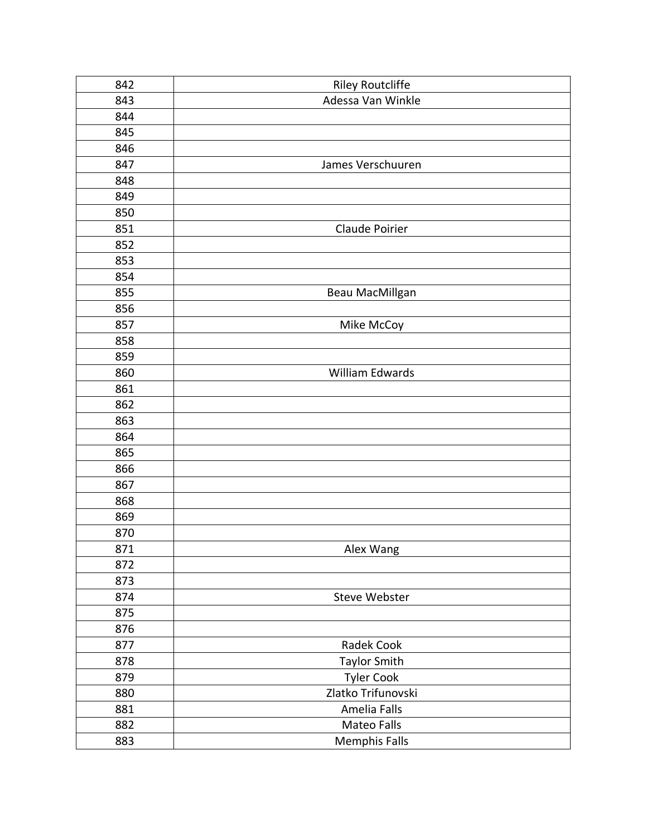| 842 | <b>Riley Routcliffe</b> |
|-----|-------------------------|
| 843 | Adessa Van Winkle       |
| 844 |                         |
| 845 |                         |
| 846 |                         |
| 847 | James Verschuuren       |
| 848 |                         |
| 849 |                         |
| 850 |                         |
| 851 | Claude Poirier          |
| 852 |                         |
| 853 |                         |
| 854 |                         |
| 855 | Beau MacMillgan         |
| 856 |                         |
| 857 | Mike McCoy              |
| 858 |                         |
| 859 |                         |
| 860 | William Edwards         |
| 861 |                         |
| 862 |                         |
| 863 |                         |
| 864 |                         |
| 865 |                         |
| 866 |                         |
| 867 |                         |
| 868 |                         |
| 869 |                         |
| 870 |                         |
| 871 | Alex Wang               |
| 872 |                         |
| 873 |                         |
| 874 | Steve Webster           |
| 875 |                         |
| 876 |                         |
| 877 | Radek Cook              |
| 878 | <b>Taylor Smith</b>     |
| 879 | <b>Tyler Cook</b>       |
| 880 | Zlatko Trifunovski      |
| 881 | Amelia Falls            |
| 882 | Mateo Falls             |
| 883 | <b>Memphis Falls</b>    |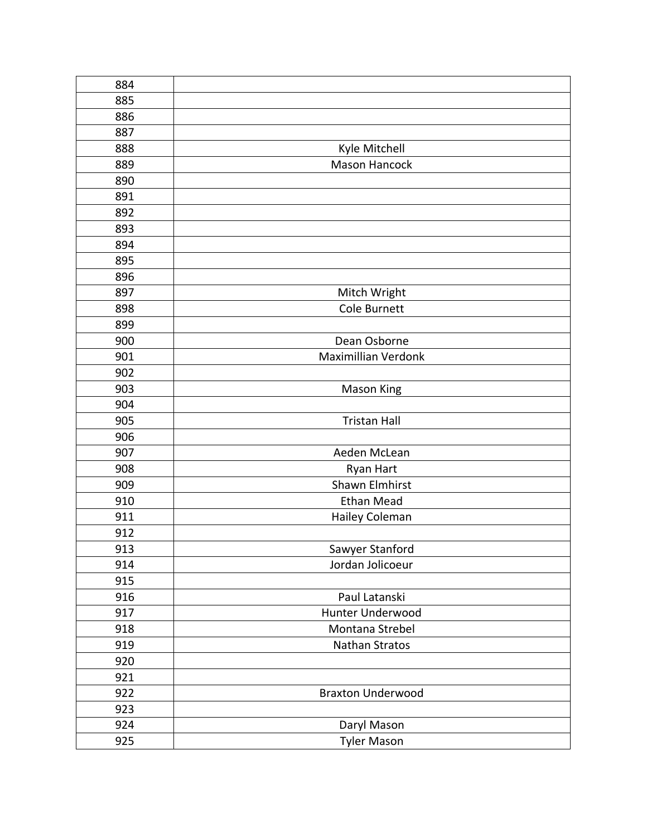| 884 |                          |
|-----|--------------------------|
| 885 |                          |
| 886 |                          |
| 887 |                          |
| 888 | Kyle Mitchell            |
| 889 | Mason Hancock            |
| 890 |                          |
| 891 |                          |
| 892 |                          |
| 893 |                          |
| 894 |                          |
| 895 |                          |
| 896 |                          |
| 897 | Mitch Wright             |
| 898 | Cole Burnett             |
| 899 |                          |
| 900 | Dean Osborne             |
| 901 | Maximillian Verdonk      |
| 902 |                          |
| 903 | <b>Mason King</b>        |
| 904 |                          |
| 905 | <b>Tristan Hall</b>      |
| 906 |                          |
| 907 | Aeden McLean             |
| 908 | Ryan Hart                |
| 909 | Shawn Elmhirst           |
| 910 | <b>Ethan Mead</b>        |
| 911 | Hailey Coleman           |
| 912 |                          |
| 913 | Sawyer Stanford          |
| 914 | Jordan Jolicoeur         |
| 915 |                          |
| 916 | Paul Latanski            |
| 917 | Hunter Underwood         |
| 918 | Montana Strebel          |
| 919 | <b>Nathan Stratos</b>    |
| 920 |                          |
| 921 |                          |
| 922 | <b>Braxton Underwood</b> |
| 923 |                          |
| 924 | Daryl Mason              |
| 925 | <b>Tyler Mason</b>       |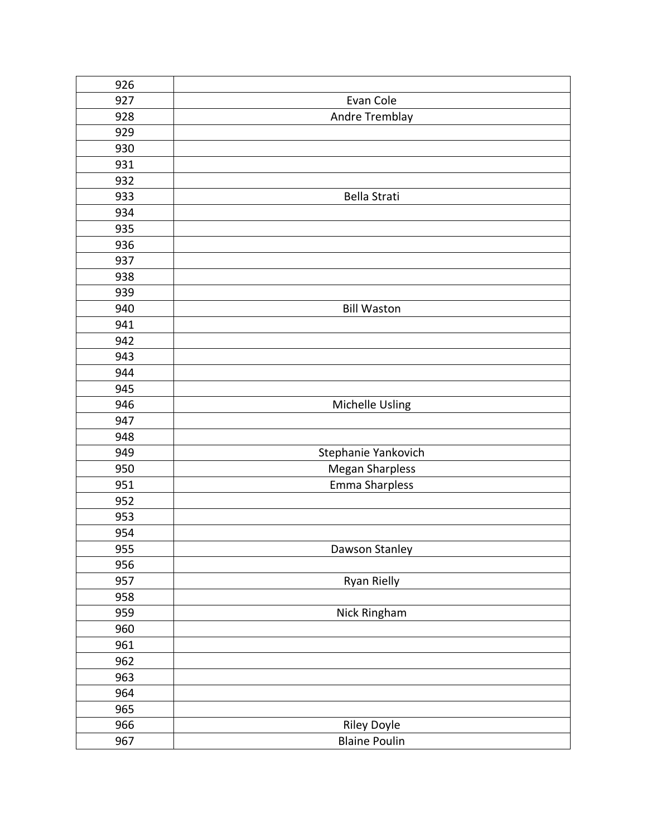| 926 |                        |
|-----|------------------------|
| 927 | Evan Cole              |
| 928 | Andre Tremblay         |
| 929 |                        |
| 930 |                        |
| 931 |                        |
| 932 |                        |
| 933 | Bella Strati           |
| 934 |                        |
| 935 |                        |
| 936 |                        |
| 937 |                        |
| 938 |                        |
| 939 |                        |
| 940 | <b>Bill Waston</b>     |
| 941 |                        |
| 942 |                        |
| 943 |                        |
| 944 |                        |
| 945 |                        |
| 946 | Michelle Usling        |
| 947 |                        |
| 948 |                        |
| 949 | Stephanie Yankovich    |
| 950 | <b>Megan Sharpless</b> |
| 951 | Emma Sharpless         |
| 952 |                        |
| 953 |                        |
| 954 |                        |
| 955 | Dawson Stanley         |
| 956 |                        |
| 957 | Ryan Rielly            |
| 958 |                        |
| 959 | Nick Ringham           |
| 960 |                        |
| 961 |                        |
| 962 |                        |
| 963 |                        |
| 964 |                        |
| 965 |                        |
| 966 | Riley Doyle            |
| 967 | <b>Blaine Poulin</b>   |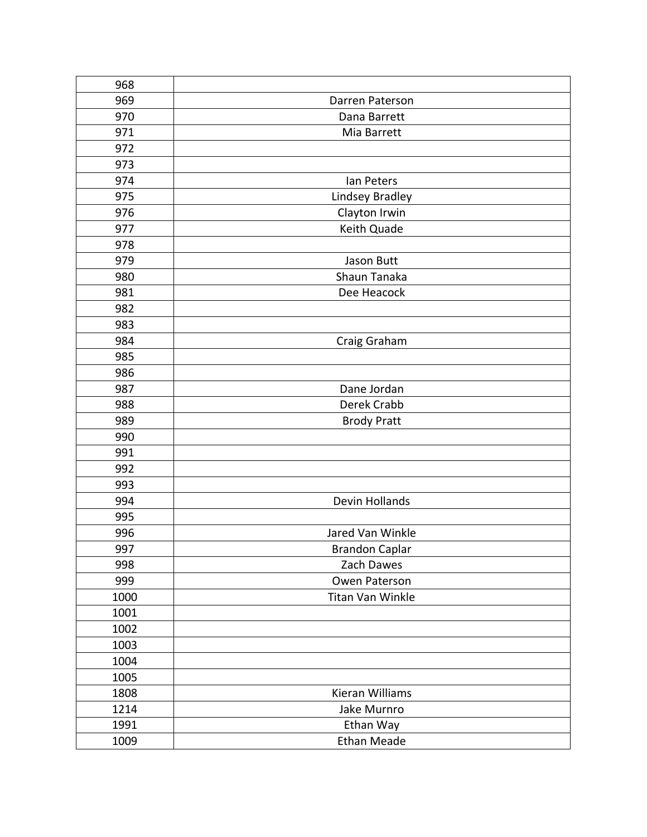| 968  |                       |
|------|-----------------------|
| 969  | Darren Paterson       |
| 970  | Dana Barrett          |
| 971  | Mia Barrett           |
| 972  |                       |
| 973  |                       |
| 974  | Ian Peters            |
| 975  | Lindsey Bradley       |
| 976  | Clayton Irwin         |
| 977  | Keith Quade           |
| 978  |                       |
| 979  | Jason Butt            |
| 980  | Shaun Tanaka          |
| 981  | Dee Heacock           |
| 982  |                       |
| 983  |                       |
| 984  | Craig Graham          |
| 985  |                       |
| 986  |                       |
| 987  | Dane Jordan           |
| 988  | Derek Crabb           |
| 989  | <b>Brody Pratt</b>    |
| 990  |                       |
| 991  |                       |
| 992  |                       |
| 993  |                       |
| 994  | Devin Hollands        |
| 995  |                       |
| 996  | Jared Van Winkle      |
| 997  | <b>Brandon Caplar</b> |
| 998  | Zach Dawes            |
| 999  | Owen Paterson         |
| 1000 | Titan Van Winkle      |
| 1001 |                       |
| 1002 |                       |
| 1003 |                       |
| 1004 |                       |
| 1005 |                       |
| 1808 | Kieran Williams       |
| 1214 | Jake Murnro           |
| 1991 | Ethan Way             |
| 1009 | <b>Ethan Meade</b>    |